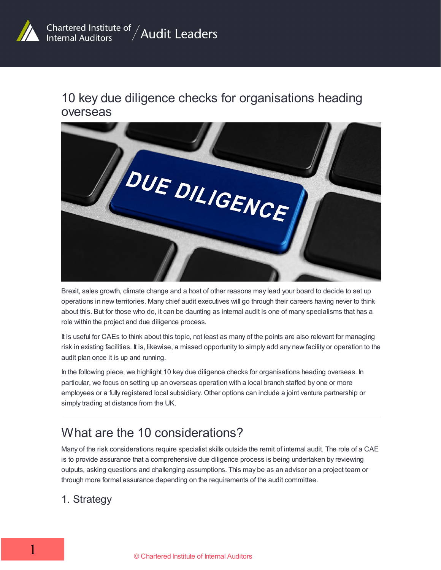

## 10 key due diligence checks for organisations heading overseas



Brexit, sales growth, climate change and a host of other reasons may lead your board to decide to set up operations in new territories. Many chief audit executives will go through their careers having never to think about this. But for those who do, it can be daunting as internal audit is one of many specialisms that has a role within the project and due diligence process.

It is useful for CAEs to think about this topic, not least as many of the points are also relevant for managing risk in existing facilities. It is, likewise, a missed opportunity to simply add any new facility or operation to the audit plan once it is up and running.

In the following piece, we highlight 10 key due diligence checks for organisations heading overseas. In particular, we focus on setting up an overseas operation with a local branch staffed by one or more employees or a fully registered local subsidiary. Other options can include a joint venture partnership or simply trading at distance from the UK.

# What are the 10 considerations?

Many of the risk considerations require specialist skills outside the remit of internal audit. The role of a CAE is to provide assurance that a comprehensive due diligence process is being undertaken by reviewing outputs, asking questions and challenging assumptions. This may be as an advisor on a project team or through more formal assurance depending on the requirements of the audit committee.

#### 1. Strategy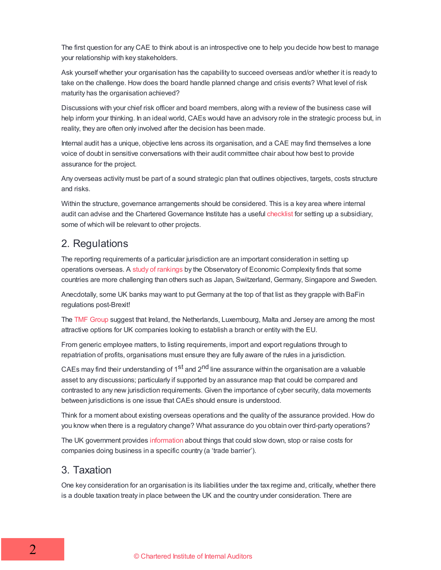The first question for any CAE to think about is an introspective one to help you decide how best to manage your relationship with key stakeholders.

Ask yourself whether your organisation has the capability to succeed overseas and/or whether it is ready to take on the challenge. How does the board handle planned change and crisis events? What level of risk maturity has the organisation achieved?

Discussions with your chief risk officer and board members, along with a review of the business case will help inform your thinking. In an ideal world, CAEs would have an advisory role in the strategic process but, in reality, they are often only involved after the decision has been made.

Internal audit has a unique, objective lens across its organisation, and a CAE may find themselves a lone voice of doubt in sensitive conversations with their audit committee chair about how best to provide assurance for the project.

Any overseas activity must be part of a sound strategic plan that outlines objectives, targets, costs structure and risks.

Within the structure, governance arrangements should be considered. This is a key area where internal audit can advise and the Chartered Governance Institute has a useful [checklist](https://www.icsa.org.uk/blog/establishing-a-subsidiary-governance-framework-a-checklist) for setting up a subsidiary, some of which will be relevant to other projects.

#### 2. Regulations

The reporting requirements of a particular jurisdiction are an important consideration in setting up operations overseas. A study of [rankings](https://legacy.oec.world/en/rankings/country/eci/) by the Observatory of Economic Complexity finds that some countries are more challenging than others such as Japan, Switzerland, Germany, Singapore and Sweden.

Anecdotally, some UK banks may want to put Germany at the top of that list as they grapple with BaFin regulations post-Brexit!

The TMF [Group](https://www.tmf-group.com/en/news-insights/articles/2018/november/eu-entity/) suggest that Ireland, the Netherlands, Luxembourg, Malta and Jersey are among the most attractive options for UK companies looking to establish a branch or entity with the EU.

From generic employee matters, to listing requirements, import and export regulations through to repatriation of profits, organisations must ensure they are fully aware of the rules in a jurisdiction.

CAEs may find their understanding of 1<sup>st</sup> and 2<sup>nd</sup> line assurance within the organisation are a valuable asset to any discussions; particularly if supported by an assurance map that could be compared and contrasted to any new jurisdiction requirements. Given the importance of cyber security, data movements between jurisdictions is one issue that CAEs should ensure is understood.

Think for a moment about existing overseas operations and the quality of the assurance provided. How do you know when there is a regulatory change? What assurance do you obtain over third-party operations?

The UK government provides [information](https://www.gov.uk/barriers-trading-investing-abroad) about things that could slow down, stop or raise costs for companies doing business in a specific country (a 'trade barrier').

#### 3. Taxation

One key consideration for an organisation is its liabilities under the tax regime and, critically, whether there is a double taxation treaty in place between the UK and the country under consideration. There are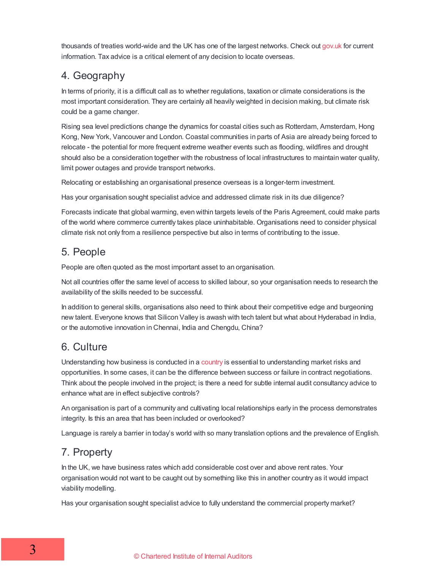thousands of treaties world-wide and the UK has one of the largest networks. Check out [gov.uk](https://www.gov.uk/government/collections/tax-treaties) for current information. Tax advice is a critical element of any decision to locate overseas.

### 4. Geography

In terms of priority, it is a difficult call as to whether regulations, taxation or climate considerations is the most important consideration. They are certainly all heavily weighted in decision making, but climate risk could be a game changer.

Rising sea level predictions change the dynamics for coastal cities such as Rotterdam, Amsterdam, Hong Kong, New York, Vancouver and London. Coastal communities in parts of Asia are already being forced to relocate - the potential for more frequent extreme weather events such as flooding, wildfires and drought should also be a consideration together with the robustness of local infrastructures to maintain water quality, limit power outages and provide transport networks.

Relocating or establishing an organisational presence overseas is a longer-term investment.

Has your organisation sought specialist advice and addressed climate risk in its due diligence?

Forecasts indicate that global warming, even within targets levels of the Paris Agreement, could make parts of the world where commerce currently takes place uninhabitable. Organisations need to consider physical climate risk not only from a resilience perspective but also in terms of contributing to the issue.

### 5. People

People are often quoted as the most important asset to an organisation.

Not all countries offer the same level of access to skilled labour, so your organisation needs to research the availability of the skills needed to be successful.

In addition to general skills, organisations also need to think about their competitive edge and burgeoning new talent. Everyone knows that Silicon Valley is awash with tech talent but what about Hyderabad in India, or the automotive innovation in Chennai, India and Chengdu, China?

### 6. Culture

Understanding how business is conducted in a [country](https://www.commisceo-global.com/resources/country-guides) is essential to understanding market risks and opportunities. In some cases, it can be the difference between success or failure in contract negotiations. Think about the people involved in the project; is there a need for subtle internal audit consultancy advice to enhance what are in effect subjective controls?

An organisation is part of a community and cultivating local relationships early in the process demonstrates integrity. Is this an area that has been included or overlooked?

Language is rarely a barrier in today's world with so many translation options and the prevalence of English.

## 7. Property

In the UK, we have business rates which add considerable cost over and above rent rates. Your organisation would not want to be caught out by something like this in another country as it would impact viability modelling.

Has your organisation sought specialist advice to fully understand the commercial property market?